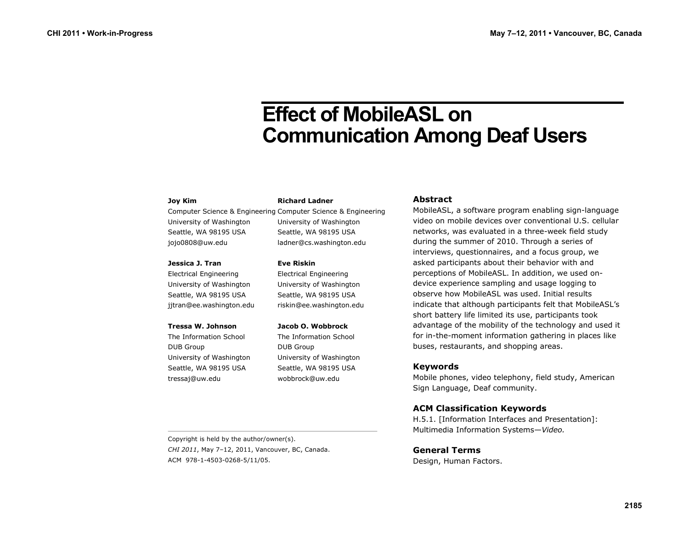# **Effect of MobileASL on Communication Among Deaf Users**

#### **Joy Kim**

University of Washington Seattle, WA 98195 USA jojo0808@uw.edu

#### **Jessica J. Tran**

Electrical Engineering University of Washington Seattle, WA 98195 USA jjtran@ee.washington.edu

#### **Tressa W. Johnson**

The Information School DUB Group University of Washington Seattle, WA 98195 USA tressaj@uw.edu

#### **Richard Ladner**

Computer Science & Engineering Computer Science & Engineering University of Washington Seattle, WA 98195 USA ladner@cs.washington.edu

#### **Eve Riskin**

Electrical Engineering University of Washington Seattle, WA 98195 USA riskin@ee.washington.edu

#### **Jacob O. Wobbrock**

The Information School DUB Group University of Washington Seattle, WA 98195 USA wobbrock@uw.edu

#### **Abstract**

MobileASL, a software program enabling sign-language video on mobile devices over conventional U.S. cellular networks, was evaluated in a three-week field study during the summer of 2010. Through a series of interviews, questionnaires, and a focus group, we asked participants about their behavior with and perceptions of MobileASL. In addition, we used ondevice experience sampling and usage logging to observe how MobileASL was used. Initial results indicate that although participants felt that MobileASL's short battery life limited its use, participants took advantage of the mobility of the technology and used it for in-the-moment information gathering in places like buses, restaurants, and shopping areas.

## **Keywords**

Mobile phones, video telephony, field study, American Sign Language, Deaf community.

# **ACM Classification Keywords**

H.5.1. [Information Interfaces and Presentation]: Multimedia Information Systems—*Video.*

# **General Terms**

Design, Human Factors.

Copyright is held by the author/owner(s). *CHI 2011*, May 7–12, 2011, Vancouver, BC, Canada. ACM 978-1-4503-0268-5/11/05.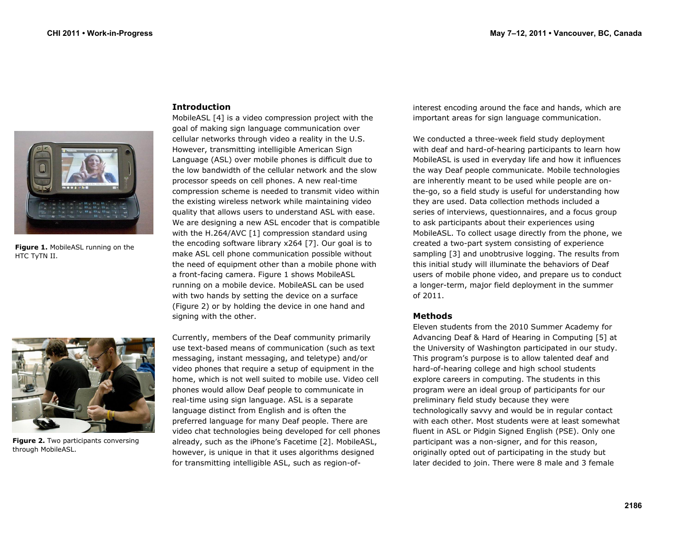

**Figure 1.** MobileASL running on the HTC TyTN II.



**Figure 2.** Two participants conversing through MobileASL.

## **Introduction**

MobileASL [4] is a video compression project with the goal of making sign language communication over cellular networks through video a reality in the U.S. However, transmitting intelligible American Sign Language (ASL) over mobile phones is difficult due to the low bandwidth of the cellular network and the slow processor speeds on cell phones. A new real-time compression scheme is needed to transmit video within the existing wireless network while maintaining video quality that allows users to understand ASL with ease. We are designing a new ASL encoder that is compatible with the H.264/AVC [1] compression standard using the encoding software library x264 [7]. Our goal is to make ASL cell phone communication possible without the need of equipment other than a mobile phone with a front-facing camera. Figure 1 shows MobileASL running on a mobile device. MobileASL can be used with two hands by setting the device on a surface (Figure 2) or by holding the device in one hand and signing with the other.

Currently, members of the Deaf community primarily use text-based means of communication (such as text messaging, instant messaging, and teletype) and/or video phones that require a setup of equipment in the home, which is not well suited to mobile use. Video cell phones would allow Deaf people to communicate in real-time using sign language. ASL is a separate language distinct from English and is often the preferred language for many Deaf people. There are video chat technologies being developed for cell phones already, such as the iPhone's Facetime [2]. MobileASL, however, is unique in that it uses algorithms designed for transmitting intelligible ASL, such as region-ofinterest encoding around the face and hands, which are important areas for sign language communication.

We conducted a three-week field study deployment with deaf and hard-of-hearing participants to learn how MobileASL is used in everyday life and how it influences the way Deaf people communicate. Mobile technologies are inherently meant to be used while people are onthe-go, so a field study is useful for understanding how they are used. Data collection methods included a series of interviews, questionnaires, and a focus group to ask participants about their experiences using MobileASL. To collect usage directly from the phone, we created a two-part system consisting of experience sampling [3] and unobtrusive logging. The results from this initial study will illuminate the behaviors of Deaf users of mobile phone video, and prepare us to conduct a longer-term, major field deployment in the summer of 2011.

## **Methods**

Eleven students from the 2010 Summer Academy for Advancing Deaf & Hard of Hearing in Computing [5] at the University of Washington participated in our study. This program's purpose is to allow talented deaf and hard-of-hearing college and high school students explore careers in computing. The students in this program were an ideal group of participants for our preliminary field study because they were technologically savvy and would be in regular contact with each other. Most students were at least somewhat fluent in ASL or Pidgin Signed English (PSE). Only one participant was a non-signer, and for this reason, originally opted out of participating in the study but later decided to join. There were 8 male and 3 female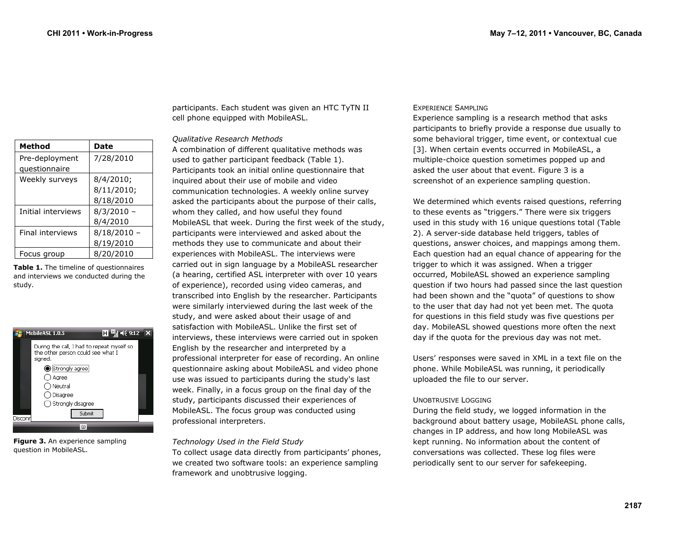| Method             | Date         |
|--------------------|--------------|
| Pre-deployment     | 7/28/2010    |
| questionnaire      |              |
| Weekly surveys     | 8/4/2010;    |
|                    | 8/11/2010;   |
|                    | 8/18/2010    |
| Initial interviews | $8/3/2010 -$ |
|                    | 8/4/2010     |
| Final interviews   | 8/18/2010    |
|                    | 8/19/2010    |
| Focus group        | 8/20/2010    |

**Table 1.** The timeline of questionnaires and interviews we conducted during the study.

| $\mathbf{H}$ $\mathbf{H}$ $\mathbf{H}$ $\mathbf{H}$ $\mathbf{H}$<br>MobileASL 1.0.5        |  |
|--------------------------------------------------------------------------------------------|--|
| During the call, I had to repeat myself so<br>the other person could see what I<br>sianed. |  |
| Strongly agree                                                                             |  |
| ) Agree                                                                                    |  |
| ) Neutral                                                                                  |  |
| Disagree                                                                                   |  |
| $\bigcirc$ Strongly disagree                                                               |  |
| Submit<br>Disconr                                                                          |  |
|                                                                                            |  |
|                                                                                            |  |

**Figure 3.** An experience sampling question in MobileASL.

participants. Each student was given an HTC TyTN II cell phone equipped with MobileASL.

#### *Qualitative Research Methods*

A combination of different qualitative methods was used to gather participant feedback (Table 1). Participants took an initial online questionnaire that inquired about their use of mobile and video communication technologies. A weekly online survey asked the participants about the purpose of their calls, whom they called, and how useful they found MobileASL that week. During the first week of the study, participants were interviewed and asked about the methods they use to communicate and about their experiences with MobileASL. The interviews were carried out in sign language by a MobileASL researcher (a hearing, certified ASL interpreter with over 10 years of experience), recorded using video cameras, and transcribed into English by the researcher. Participants were similarly interviewed during the last week of the study, and were asked about their usage of and satisfaction with MobileASL. Unlike the first set of interviews, these interviews were carried out in spoken English by the researcher and interpreted by a professional interpreter for ease of recording. An online questionnaire asking about MobileASL and video phone use was issued to participants during the study's last week. Finally, in a focus group on the final day of the study, participants discussed their experiences of MobileASL. The focus group was conducted using professional interpreters.

## *Technology Used in the Field Study*

To collect usage data directly from participants' phones, we created two software tools: an experience sampling framework and unobtrusive logging.

## EXPERIENCE SAMPLING

Experience sampling is a research method that asks participants to briefly provide a response due usually to some behavioral trigger, time event, or contextual cue [3]. When certain events occurred in MobileASL, a multiple-choice question sometimes popped up and asked the user about that event. Figure 3 is a screenshot of an experience sampling question.

We determined which events raised questions, referring to these events as "triggers." There were six triggers used in this study with 16 unique questions total (Table 2). A server-side database held triggers, tables of questions, answer choices, and mappings among them. Each question had an equal chance of appearing for the trigger to which it was assigned. When a trigger occurred, MobileASL showed an experience sampling question if two hours had passed since the last question had been shown and the "quota" of questions to show to the user that day had not yet been met. The quota for questions in this field study was five questions per day. MobileASL showed questions more often the next day if the quota for the previous day was not met.

Users' responses were saved in XML in a text file on the phone. While MobileASL was running, it periodically uploaded the file to our server.

## UNOBTRUSIVE LOGGING

During the field study, we logged information in the background about battery usage, MobileASL phone calls, changes in IP address, and how long MobileASL was kept running. No information about the content of conversations was collected. These log files were periodically sent to our server for safekeeping.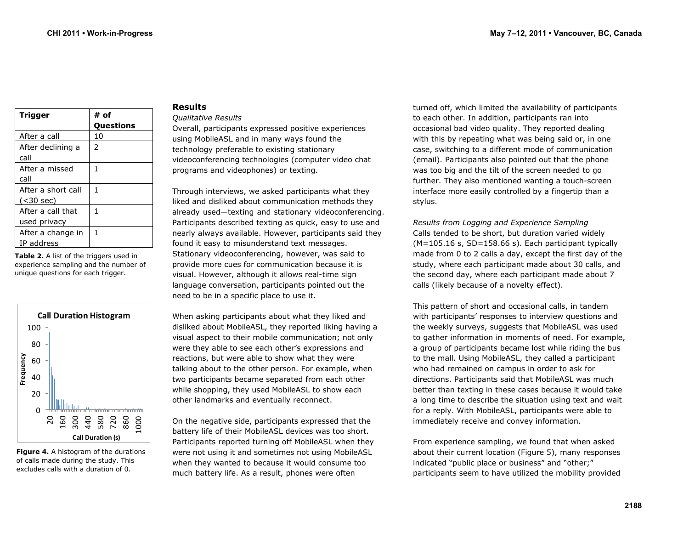| <b>Trigger</b>     | # of             |
|--------------------|------------------|
|                    | <b>Questions</b> |
| After a call       | 10               |
| After declining a  | $\mathcal{P}$    |
| call               |                  |
| After a missed     | 1                |
| call               |                  |
| After a short call | 1                |
| $(<$ 30 sec)       |                  |
| After a call that  | 1                |
| used privacy       |                  |
| After a change in  | 1                |
| IP address         |                  |
|                    |                  |

**Table 2.** A list of the triggers used in experience sampling and the number of unique questions for each trigger.



**Figure 4.** A histogram of the durations of calls made during the study. This excludes calls with a duration of 0.

#### **Results**

#### *Qualitative Results*

Overall, participants expressed positive experiences using MobileASL and in many ways found the technology preferable to existing stationary videoconferencing technologies (computer video chat programs and videophones) or texting.

Through interviews, we asked participants what they liked and disliked about communication methods they already used—texting and stationary videoconferencing. Participants described texting as quick, easy to use and nearly always available. However, participants said they found it easy to misunderstand text messages. Stationary videoconferencing, however, was said to provide more cues for communication because it is visual. However, although it allows real-time sign language conversation, participants pointed out the need to be in a specific place to use it.

When asking participants about what they liked and disliked about MobileASL, they reported liking having a visual aspect to their mobile communication; not only were they able to see each other's expressions and reactions, but were able to show what they were talking about to the other person. For example, when two participants became separated from each other while shopping, they used MobileASL to show each other landmarks and eventually reconnect.

On the negative side, participants expressed that the battery life of their MobileASL devices was too short. Participants reported turning off MobileASL when they were not using it and sometimes not using MobileASL when they wanted to because it would consume too much battery life. As a result, phones were often

turned off, which limited the availability of participants to each other. In addition, participants ran into occasional bad video quality. They reported dealing with this by repeating what was being said or, in one case, switching to a different mode of communication (email). Participants also pointed out that the phone was too big and the tilt of the screen needed to go further. They also mentioned wanting a touch-screen interface more easily controlled by a fingertip than a stylus.

*Results from Logging and Experience Sampling*  Calls tended to be short, but duration varied widely (M=105.16 s, SD=158.66 s). Each participant typically made from 0 to 2 calls a day, except the first day of the study, where each participant made about 30 calls, and the second day, where each participant made about 7 calls (likely because of a novelty effect).

This pattern of short and occasional calls, in tandem with participants' responses to interview questions and the weekly surveys, suggests that MobileASL was used to gather information in moments of need. For example, a group of participants became lost while riding the bus to the mall. Using MobileASL, they called a participant who had remained on campus in order to ask for directions. Participants said that MobileASL was much better than texting in these cases because it would take a long time to describe the situation using text and wait for a reply. With MobileASL, participants were able to immediately receive and convey information.

From experience sampling, we found that when asked about their current location (Figure 5), many responses indicated "public place or business" and "other;" participants seem to have utilized the mobility provided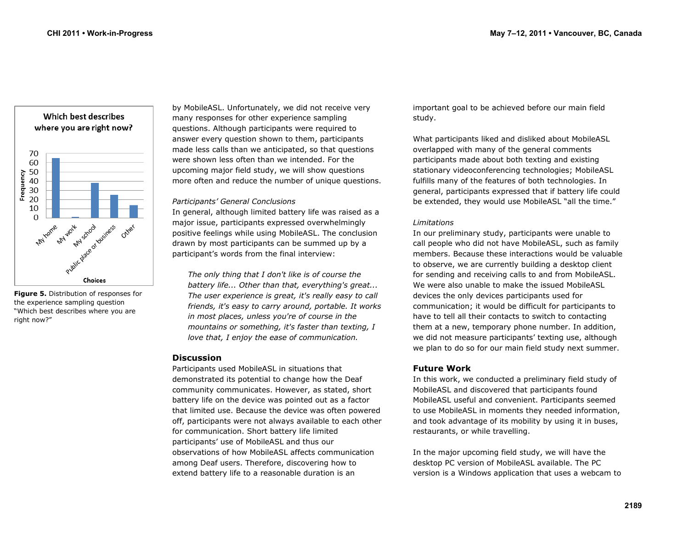

**Figure 5.** Distribution of responses for the experience sampling question "Which best describes where you are right now?"

by MobileASL. Unfortunately, we did not receive very many responses for other experience sampling questions. Although participants were required to answer every question shown to them, participants made less calls than we anticipated, so that questions were shown less often than we intended. For the upcoming major field study, we will show questions more often and reduce the number of unique questions.

## *Participants' General Conclusions*

In general, although limited battery life was raised as a major issue, participants expressed overwhelmingly positive feelings while using MobileASL. The conclusion drawn by most participants can be summed up by a participant's words from the final interview:

*The only thing that I don't like is of course the battery life... Other than that, everything's great... The user experience is great, it's really easy to call friends, it's easy to carry around, portable. It works in most places, unless you're of course in the mountains or something, it's faster than texting, I love that, I enjoy the ease of communication.* 

# **Discussion**

Participants used MobileASL in situations that demonstrated its potential to change how the Deaf community communicates. However, as stated, short battery life on the device was pointed out as a factor that limited use. Because the device was often powered off, participants were not always available to each other for communication. Short battery life limited participants' use of MobileASL and thus our observations of how MobileASL affects communication among Deaf users. Therefore, discovering how to extend battery life to a reasonable duration is an

important goal to be achieved before our main field study.

What participants liked and disliked about MobileASL overlapped with many of the general comments participants made about both texting and existing stationary videoconferencing technologies; MobileASL fulfills many of the features of both technologies. In general, participants expressed that if battery life could be extended, they would use MobileASL "all the time."

#### *Limitations*

In our preliminary study, participants were unable to call people who did not have MobileASL, such as family members. Because these interactions would be valuable to observe, we are currently building a desktop client for sending and receiving calls to and from MobileASL. We were also unable to make the issued MobileASL devices the only devices participants used for communication; it would be difficult for participants to have to tell all their contacts to switch to contacting them at a new, temporary phone number. In addition, we did not measure participants' texting use, although we plan to do so for our main field study next summer.

# **Future Work**

In this work, we conducted a preliminary field study of MobileASL and discovered that participants found MobileASL useful and convenient. Participants seemed to use MobileASL in moments they needed information, and took advantage of its mobility by using it in buses, restaurants, or while travelling.

In the major upcoming field study, we will have the desktop PC version of MobileASL available. The PC version is a Windows application that uses a webcam to